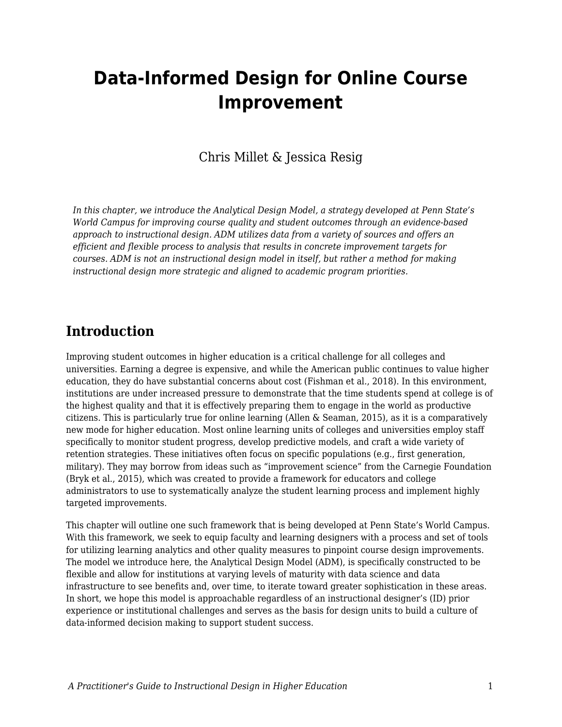# **Data-Informed Design for Online Course Improvement**

## Chris Millet & Jessica Resig

*In this chapter, we introduce the Analytical Design Model, a strategy developed at Penn State's World Campus for improving course quality and student outcomes through an evidence-based approach to instructional design. ADM utilizes data from a variety of sources and offers an efficient and flexible process to analysis that results in concrete improvement targets for courses. ADM is not an instructional design model in itself, but rather a method for making instructional design more strategic and aligned to academic program priorities.*

## **Introduction**

Improving student outcomes in higher education is a critical challenge for all colleges and universities. Earning a degree is expensive, and while the American public continues to value higher education, they do have substantial concerns about cost (Fishman et al., 2018). In this environment, institutions are under increased pressure to demonstrate that the time students spend at college is of the highest quality and that it is effectively preparing them to engage in the world as productive citizens. This is particularly true for online learning (Allen & Seaman, 2015), as it is a comparatively new mode for higher education. Most online learning units of colleges and universities employ staff specifically to monitor student progress, develop predictive models, and craft a wide variety of retention strategies. These initiatives often focus on specific populations (e.g., first generation, military). They may borrow from ideas such as "improvement science" from the Carnegie Foundation (Bryk et al., 2015), which was created to provide a framework for educators and college administrators to use to systematically analyze the student learning process and implement highly targeted improvements.

This chapter will outline one such framework that is being developed at Penn State's World Campus. With this framework, we seek to equip faculty and learning designers with a process and set of tools for utilizing learning analytics and other quality measures to pinpoint course design improvements. The model we introduce here, the Analytical Design Model (ADM), is specifically constructed to be flexible and allow for institutions at varying levels of maturity with data science and data infrastructure to see benefits and, over time, to iterate toward greater sophistication in these areas. In short, we hope this model is approachable regardless of an instructional designer's (ID) prior experience or institutional challenges and serves as the basis for design units to build a culture of data-informed decision making to support student success.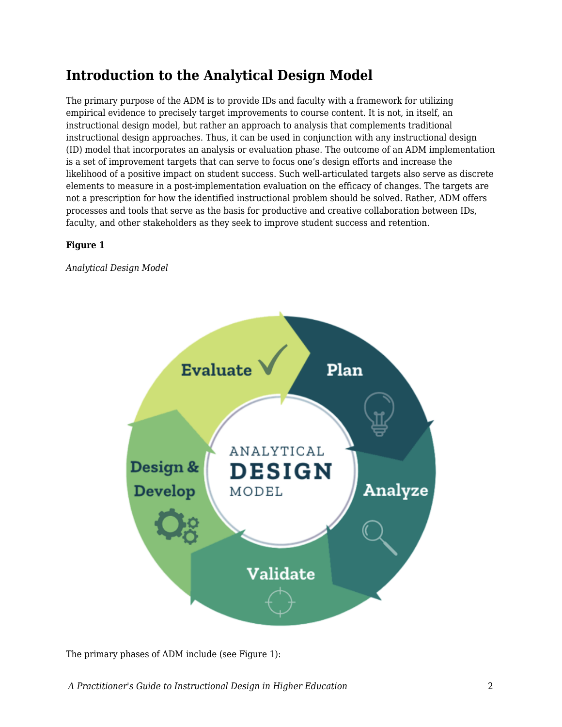## **Introduction to the Analytical Design Model**

The primary purpose of the ADM is to provide IDs and faculty with a framework for utilizing empirical evidence to precisely target improvements to course content. It is not, in itself, an instructional design model, but rather an approach to analysis that complements traditional instructional design approaches. Thus, it can be used in conjunction with any instructional design (ID) model that incorporates an analysis or evaluation phase. The outcome of an ADM implementation is a set of improvement targets that can serve to focus one's design efforts and increase the likelihood of a positive impact on student success. Such well-articulated targets also serve as discrete elements to measure in a post-implementation evaluation on the efficacy of changes. The targets are not a prescription for how the identified instructional problem should be solved. Rather, ADM offers processes and tools that serve as the basis for productive and creative collaboration between IDs, faculty, and other stakeholders as they seek to improve student success and retention.

### **Figure 1**

*Analytical Design Model*



The primary phases of ADM include (see Figure 1):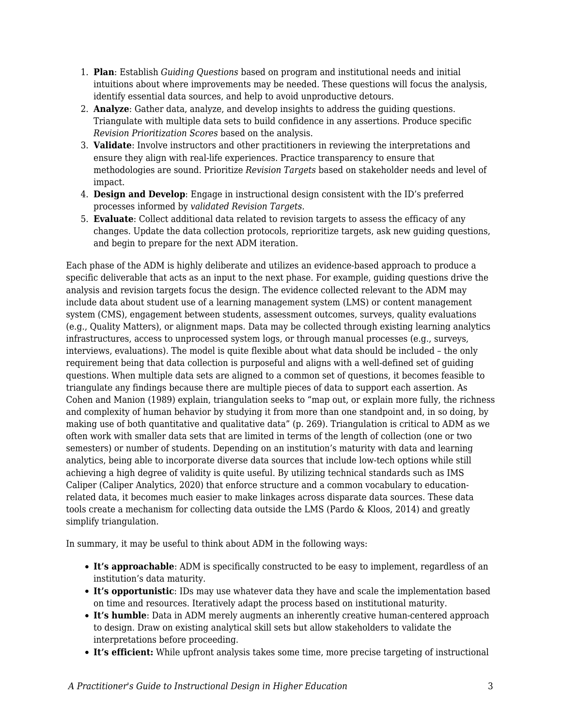- 1. **Plan**: Establish *Guiding Questions* based on program and institutional needs and initial intuitions about where improvements may be needed. These questions will focus the analysis, identify essential data sources, and help to avoid unproductive detours.
- 2. **Analyze**: Gather data, analyze, and develop insights to address the guiding questions. Triangulate with multiple data sets to build confidence in any assertions. Produce specific *Revision Prioritization Scores* based on the analysis.
- 3. **Validate**: Involve instructors and other practitioners in reviewing the interpretations and ensure they align with real-life experiences. Practice transparency to ensure that methodologies are sound. Prioritize *Revision Targets* based on stakeholder needs and level of impact.
- 4. **Design and Develop**: Engage in instructional design consistent with the ID's preferred processes informed by *validated Revision Targets*.
- 5. **Evaluate**: Collect additional data related to revision targets to assess the efficacy of any changes. Update the data collection protocols, reprioritize targets, ask new guiding questions, and begin to prepare for the next ADM iteration.

Each phase of the ADM is highly deliberate and utilizes an evidence-based approach to produce a specific deliverable that acts as an input to the next phase. For example, guiding questions drive the analysis and revision targets focus the design. The evidence collected relevant to the ADM may include data about student use of a learning management system (LMS) or content management system (CMS), engagement between students, assessment outcomes, surveys, quality evaluations (e.g., Quality Matters), or alignment maps. Data may be collected through existing learning analytics infrastructures, access to unprocessed system logs, or through manual processes (e.g., surveys, interviews, evaluations). The model is quite flexible about what data should be included – the only requirement being that data collection is purposeful and aligns with a well-defined set of guiding questions. When multiple data sets are aligned to a common set of questions, it becomes feasible to triangulate any findings because there are multiple pieces of data to support each assertion. As Cohen and Manion (1989) explain, triangulation seeks to "map out, or explain more fully, the richness and complexity of human behavior by studying it from more than one standpoint and, in so doing, by making use of both quantitative and qualitative data" (p. 269). Triangulation is critical to ADM as we often work with smaller data sets that are limited in terms of the length of collection (one or two semesters) or number of students. Depending on an institution's maturity with data and learning analytics, being able to incorporate diverse data sources that include low-tech options while still achieving a high degree of validity is quite useful. By utilizing technical standards such as IMS Caliper (Caliper Analytics, 2020) that enforce structure and a common vocabulary to educationrelated data, it becomes much easier to make linkages across disparate data sources. These data tools create a mechanism for collecting data outside the LMS (Pardo & Kloos, 2014) and greatly simplify triangulation.

In summary, it may be useful to think about ADM in the following ways:

- **It's approachable**: ADM is specifically constructed to be easy to implement, regardless of an institution's data maturity.
- **It's opportunistic**: IDs may use whatever data they have and scale the implementation based on time and resources. Iteratively adapt the process based on institutional maturity.
- **It's humble**: Data in ADM merely augments an inherently creative human-centered approach to design. Draw on existing analytical skill sets but allow stakeholders to validate the interpretations before proceeding.
- **It's efficient:** While upfront analysis takes some time, more precise targeting of instructional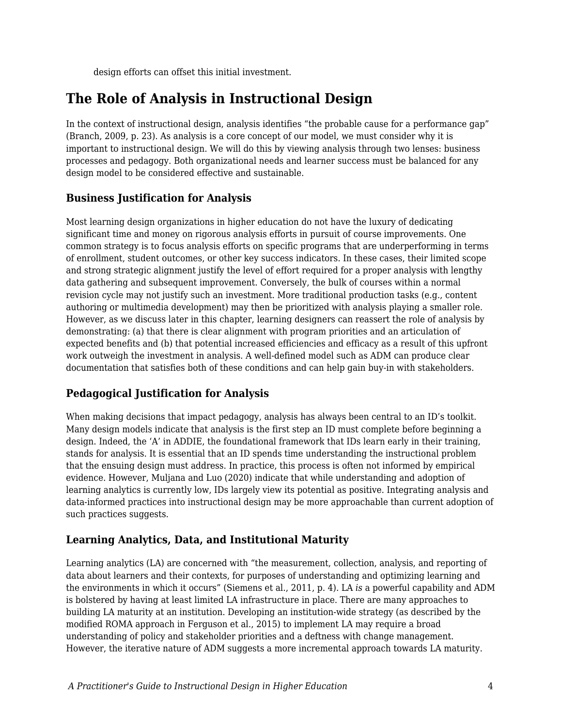design efforts can offset this initial investment.

## **The Role of Analysis in Instructional Design**

In the context of instructional design, analysis identifies "the probable cause for a performance gap" (Branch, 2009, p. 23). As analysis is a core concept of our model, we must consider why it is important to instructional design. We will do this by viewing analysis through two lenses: business processes and pedagogy. Both organizational needs and learner success must be balanced for any design model to be considered effective and sustainable.

## **Business Justification for Analysis**

Most learning design organizations in higher education do not have the luxury of dedicating significant time and money on rigorous analysis efforts in pursuit of course improvements. One common strategy is to focus analysis efforts on specific programs that are underperforming in terms of enrollment, student outcomes, or other key success indicators. In these cases, their limited scope and strong strategic alignment justify the level of effort required for a proper analysis with lengthy data gathering and subsequent improvement. Conversely, the bulk of courses within a normal revision cycle may not justify such an investment. More traditional production tasks (e.g., content authoring or multimedia development) may then be prioritized with analysis playing a smaller role. However, as we discuss later in this chapter, learning designers can reassert the role of analysis by demonstrating: (a) that there is clear alignment with program priorities and an articulation of expected benefits and (b) that potential increased efficiencies and efficacy as a result of this upfront work outweigh the investment in analysis. A well-defined model such as ADM can produce clear documentation that satisfies both of these conditions and can help gain buy-in with stakeholders.

## **Pedagogical Justification for Analysis**

When making decisions that impact pedagogy, analysis has always been central to an ID's toolkit. Many design models indicate that analysis is the first step an ID must complete before beginning a design. Indeed, the 'A' in ADDIE, the foundational framework that IDs learn early in their training, stands for analysis. It is essential that an ID spends time understanding the instructional problem that the ensuing design must address. In practice, this process is often not informed by empirical evidence. However, Muljana and Luo (2020) indicate that while understanding and adoption of learning analytics is currently low, IDs largely view its potential as positive. Integrating analysis and data-informed practices into instructional design may be more approachable than current adoption of such practices suggests.

## **Learning Analytics, Data, and Institutional Maturity**

Learning analytics (LA) are concerned with "the measurement, collection, analysis, and reporting of data about learners and their contexts, for purposes of understanding and optimizing learning and the environments in which it occurs" (Siemens et al., 2011, p. 4)*.* LA *is* a powerful capability and ADM is bolstered by having at least limited LA infrastructure in place. There are many approaches to building LA maturity at an institution. Developing an institution-wide strategy (as described by the modified ROMA approach in Ferguson et al., 2015) to implement LA may require a broad understanding of policy and stakeholder priorities and a deftness with change management. However, the iterative nature of ADM suggests a more incremental approach towards LA maturity.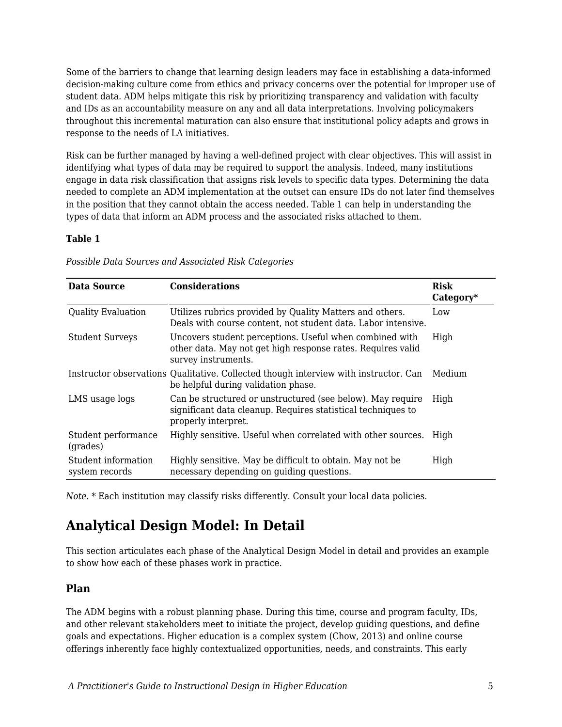Some of the barriers to change that learning design leaders may face in establishing a data-informed decision-making culture come from ethics and privacy concerns over the potential for improper use of student data. ADM helps mitigate this risk by prioritizing transparency and validation with faculty and IDs as an accountability measure on any and all data interpretations. Involving policymakers throughout this incremental maturation can also ensure that institutional policy adapts and grows in response to the needs of LA initiatives.

Risk can be further managed by having a well-defined project with clear objectives. This will assist in identifying what types of data may be required to support the analysis. Indeed, many institutions engage in data risk classification that assigns risk levels to specific data types. Determining the data needed to complete an ADM implementation at the outset can ensure IDs do not later find themselves in the position that they cannot obtain the access needed. Table 1 can help in understanding the types of data that inform an ADM process and the associated risks attached to them.

#### **Table 1**

| Data Source                           | <b>Considerations</b>                                                                                                                             | <b>Risk</b><br>Category* |
|---------------------------------------|---------------------------------------------------------------------------------------------------------------------------------------------------|--------------------------|
| <b>Quality Evaluation</b>             | Utilizes rubrics provided by Quality Matters and others.<br>Deals with course content, not student data. Labor intensive.                         | Low                      |
| <b>Student Surveys</b>                | Uncovers student perceptions. Useful when combined with<br>other data. May not get high response rates. Requires valid<br>survey instruments.     | High                     |
|                                       | Instructor observations Qualitative. Collected though interview with instructor. Can<br>be helpful during validation phase.                       | Medium                   |
| LMS usage logs                        | Can be structured or unstructured (see below). May require<br>significant data cleanup. Requires statistical techniques to<br>properly interpret. | High                     |
| Student performance<br>(grades)       | Highly sensitive. Useful when correlated with other sources.                                                                                      | High                     |
| Student information<br>system records | Highly sensitive. May be difficult to obtain. May not be<br>necessary depending on guiding questions.                                             | High                     |

*Possible Data Sources and Associated Risk Categories*

*Note.* \* Each institution may classify risks differently. Consult your local data policies.

## **Analytical Design Model: In Detail**

This section articulates each phase of the Analytical Design Model in detail and provides an example to show how each of these phases work in practice.

### **Plan**

The ADM begins with a robust planning phase. During this time, course and program faculty, IDs, and other relevant stakeholders meet to initiate the project, develop guiding questions, and define goals and expectations. Higher education is a complex system (Chow, 2013) and online course offerings inherently face highly contextualized opportunities, needs, and constraints. This early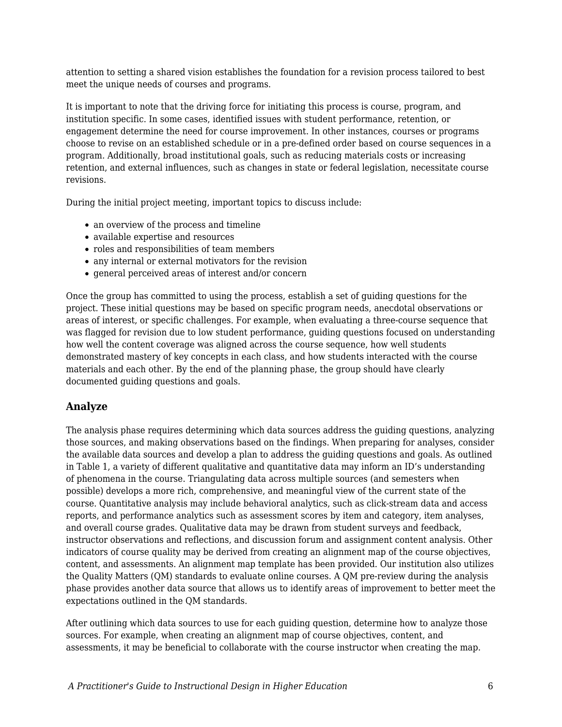attention to setting a shared vision establishes the foundation for a revision process tailored to best meet the unique needs of courses and programs.

It is important to note that the driving force for initiating this process is course, program, and institution specific. In some cases, identified issues with student performance, retention, or engagement determine the need for course improvement. In other instances, courses or programs choose to revise on an established schedule or in a pre-defined order based on course sequences in a program. Additionally, broad institutional goals, such as reducing materials costs or increasing retention, and external influences, such as changes in state or federal legislation, necessitate course revisions.

During the initial project meeting, important topics to discuss include:

- an overview of the process and timeline
- available expertise and resources
- roles and responsibilities of team members
- any internal or external motivators for the revision
- general perceived areas of interest and/or concern

Once the group has committed to using the process, establish a set of guiding questions for the project. These initial questions may be based on specific program needs, anecdotal observations or areas of interest, or specific challenges. For example, when evaluating a three-course sequence that was flagged for revision due to low student performance, guiding questions focused on understanding how well the content coverage was aligned across the course sequence, how well students demonstrated mastery of key concepts in each class, and how students interacted with the course materials and each other. By the end of the planning phase, the group should have clearly documented guiding questions and goals.

#### **Analyze**

The analysis phase requires determining which data sources address the guiding questions, analyzing those sources, and making observations based on the findings. When preparing for analyses, consider the available data sources and develop a plan to address the guiding questions and goals. As outlined in Table 1, a variety of different qualitative and quantitative data may inform an ID's understanding of phenomena in the course. Triangulating data across multiple sources (and semesters when possible) develops a more rich, comprehensive, and meaningful view of the current state of the course. Quantitative analysis may include behavioral analytics, such as click-stream data and access reports, and performance analytics such as assessment scores by item and category, item analyses, and overall course grades. Qualitative data may be drawn from student surveys and feedback, instructor observations and reflections, and discussion forum and assignment content analysis. Other indicators of course quality may be derived from creating an alignment map of the course objectives, content, and assessments. An alignment map template has been provided. Our institution also utilizes the Quality Matters (QM) standards to evaluate online courses. A QM pre-review during the analysis phase provides another data source that allows us to identify areas of improvement to better meet the expectations outlined in the QM standards.

After outlining which data sources to use for each guiding question, determine how to analyze those sources. For example, when creating an alignment map of course objectives, content, and assessments, it may be beneficial to collaborate with the course instructor when creating the map.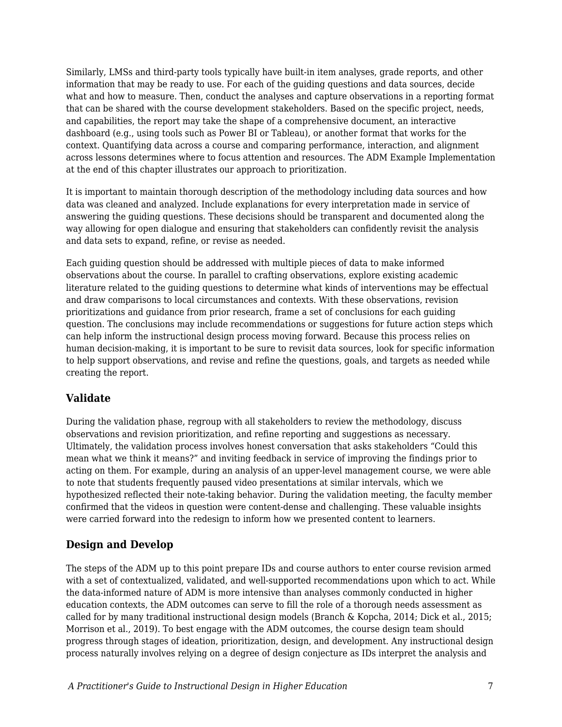Similarly, LMSs and third-party tools typically have built-in item analyses, grade reports, and other information that may be ready to use. For each of the guiding questions and data sources, decide what and how to measure. Then, conduct the analyses and capture observations in a reporting format that can be shared with the course development stakeholders. Based on the specific project, needs, and capabilities, the report may take the shape of a comprehensive document, an interactive dashboard (e.g., using tools such as Power BI or Tableau), or another format that works for the context. Quantifying data across a course and comparing performance, interaction, and alignment across lessons determines where to focus attention and resources. The ADM Example Implementation at the end of this chapter illustrates our approach to prioritization.

It is important to maintain thorough description of the methodology including data sources and how data was cleaned and analyzed. Include explanations for every interpretation made in service of answering the guiding questions. These decisions should be transparent and documented along the way allowing for open dialogue and ensuring that stakeholders can confidently revisit the analysis and data sets to expand, refine, or revise as needed.

Each guiding question should be addressed with multiple pieces of data to make informed observations about the course. In parallel to crafting observations, explore existing academic literature related to the guiding questions to determine what kinds of interventions may be effectual and draw comparisons to local circumstances and contexts. With these observations, revision prioritizations and guidance from prior research, frame a set of conclusions for each guiding question. The conclusions may include recommendations or suggestions for future action steps which can help inform the instructional design process moving forward. Because this process relies on human decision-making, it is important to be sure to revisit data sources, look for specific information to help support observations, and revise and refine the questions, goals, and targets as needed while creating the report.

## **Validate**

During the validation phase, regroup with all stakeholders to review the methodology, discuss observations and revision prioritization, and refine reporting and suggestions as necessary. Ultimately, the validation process involves honest conversation that asks stakeholders "Could this mean what we think it means?" and inviting feedback in service of improving the findings prior to acting on them. For example, during an analysis of an upper-level management course, we were able to note that students frequently paused video presentations at similar intervals, which we hypothesized reflected their note-taking behavior. During the validation meeting, the faculty member confirmed that the videos in question were content-dense and challenging. These valuable insights were carried forward into the redesign to inform how we presented content to learners.

## **Design and Develop**

The steps of the ADM up to this point prepare IDs and course authors to enter course revision armed with a set of contextualized, validated, and well-supported recommendations upon which to act. While the data-informed nature of ADM is more intensive than analyses commonly conducted in higher education contexts, the ADM outcomes can serve to fill the role of a thorough needs assessment as called for by many traditional instructional design models (Branch & Kopcha, 2014; Dick et al., 2015; Morrison et al., 2019). To best engage with the ADM outcomes, the course design team should progress through stages of ideation, prioritization, design, and development. Any instructional design process naturally involves relying on a degree of design conjecture as IDs interpret the analysis and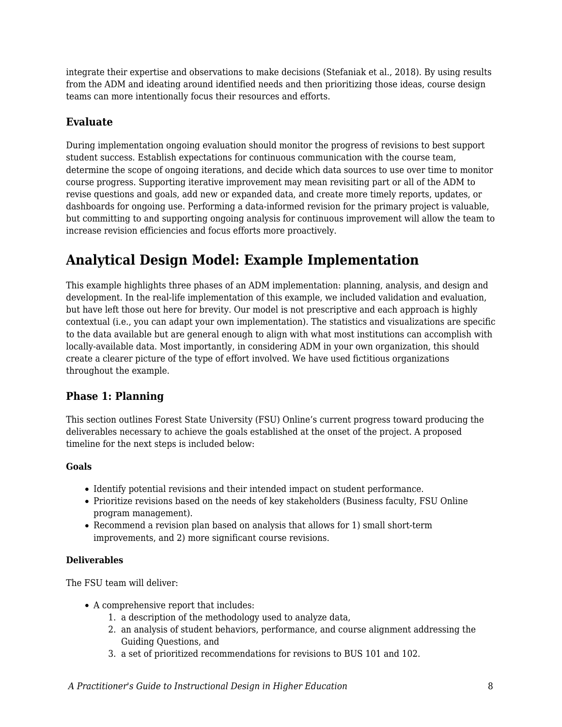integrate their expertise and observations to make decisions (Stefaniak et al., 2018). By using results from the ADM and ideating around identified needs and then prioritizing those ideas, course design teams can more intentionally focus their resources and efforts.

### **Evaluate**

During implementation ongoing evaluation should monitor the progress of revisions to best support student success. Establish expectations for continuous communication with the course team, determine the scope of ongoing iterations, and decide which data sources to use over time to monitor course progress. Supporting iterative improvement may mean revisiting part or all of the ADM to revise questions and goals, add new or expanded data, and create more timely reports, updates, or dashboards for ongoing use. Performing a data-informed revision for the primary project is valuable, but committing to and supporting ongoing analysis for continuous improvement will allow the team to increase revision efficiencies and focus efforts more proactively.

## **Analytical Design Model: Example Implementation**

This example highlights three phases of an ADM implementation: planning, analysis, and design and development. In the real-life implementation of this example, we included validation and evaluation, but have left those out here for brevity. Our model is not prescriptive and each approach is highly contextual (i.e., you can adapt your own implementation). The statistics and visualizations are specific to the data available but are general enough to align with what most institutions can accomplish with locally-available data. Most importantly, in considering ADM in your own organization, this should create a clearer picture of the type of effort involved. We have used fictitious organizations throughout the example.

### **Phase 1: Planning**

This section outlines Forest State University (FSU) Online's current progress toward producing the deliverables necessary to achieve the goals established at the onset of the project. A proposed timeline for the next steps is included below:

#### **Goals**

- Identify potential revisions and their intended impact on student performance.
- Prioritize revisions based on the needs of key stakeholders (Business faculty, FSU Online program management).
- Recommend a revision plan based on analysis that allows for 1) small short-term improvements, and 2) more significant course revisions.

#### **Deliverables**

The FSU team will deliver:

- A comprehensive report that includes:
	- 1. a description of the methodology used to analyze data,
	- 2. an analysis of student behaviors, performance, and course alignment addressing the Guiding Questions, and
	- 3. a set of prioritized recommendations for revisions to BUS 101 and 102.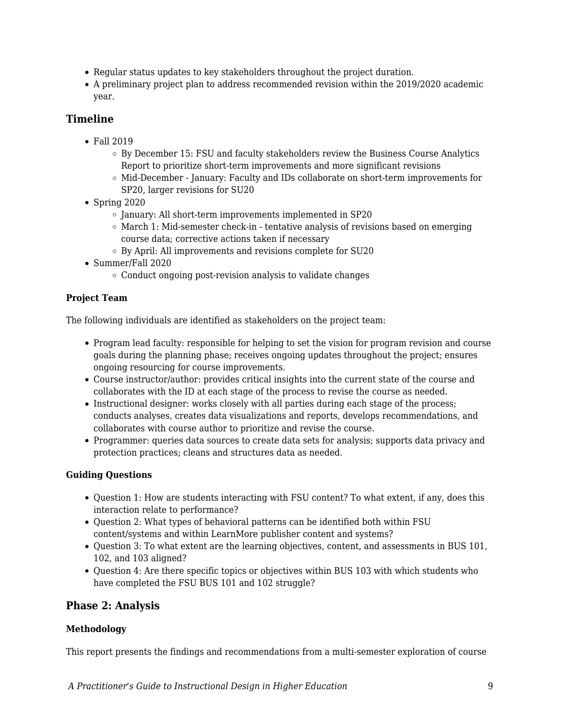- Regular status updates to key stakeholders throughout the project duration.
- A preliminary project plan to address recommended revision within the 2019/2020 academic year.

### **Timeline**

- Fall 2019
	- $\circ$  By December 15: FSU and faculty stakeholders review the Business Course Analytics Report to prioritize short-term improvements and more significant revisions
	- $\circ$  Mid-December January: Faculty and IDs collaborate on short-term improvements for SP20, larger revisions for SU20
- $\bullet$  Spring 2020
	- $\circ$  January: All short-term improvements implemented in SP20
	- $\circ$  March 1: Mid-semester check-in tentative analysis of revisions based on emerging course data; corrective actions taken if necessary
	- By April: All improvements and revisions complete for SU20
- Summer/Fall 2020
	- Conduct ongoing post-revision analysis to validate changes

#### **Project Team**

The following individuals are identified as stakeholders on the project team:

- Program lead faculty: responsible for helping to set the vision for program revision and course goals during the planning phase; receives ongoing updates throughout the project; ensures ongoing resourcing for course improvements.
- Course instructor/author: provides critical insights into the current state of the course and collaborates with the ID at each stage of the process to revise the course as needed.
- Instructional designer: works closely with all parties during each stage of the process; conducts analyses, creates data visualizations and reports, develops recommendations, and collaborates with course author to prioritize and revise the course.
- Programmer: queries data sources to create data sets for analysis; supports data privacy and protection practices; cleans and structures data as needed.

#### **Guiding Questions**

- Question 1: How are students interacting with FSU content? To what extent, if any, does this interaction relate to performance?
- Question 2: What types of behavioral patterns can be identified both within FSU content/systems and within LearnMore publisher content and systems?
- Question 3: To what extent are the learning objectives, content, and assessments in BUS 101, 102, and 103 aligned?
- Question 4: Are there specific topics or objectives within BUS 103 with which students who have completed the FSU BUS 101 and 102 struggle?

#### **Phase 2: Analysis**

#### **Methodology**

This report presents the findings and recommendations from a multi-semester exploration of course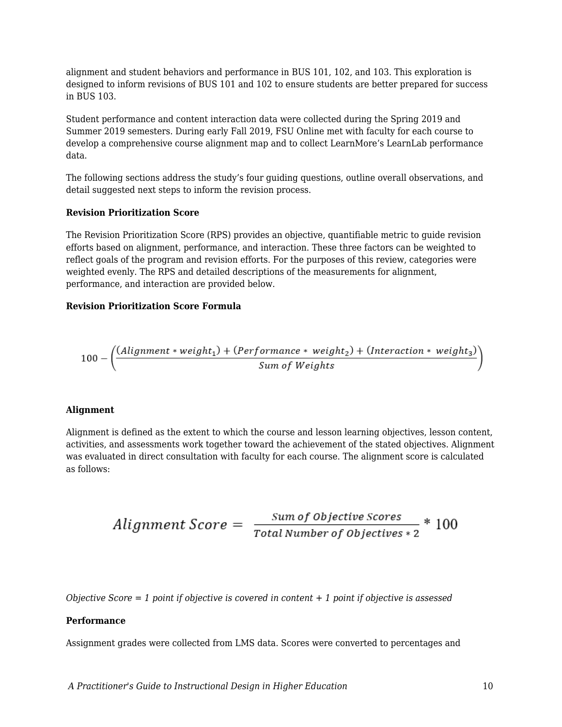alignment and student behaviors and performance in BUS 101, 102, and 103. This exploration is designed to inform revisions of BUS 101 and 102 to ensure students are better prepared for success in BUS 103.

Student performance and content interaction data were collected during the Spring 2019 and Summer 2019 semesters. During early Fall 2019, FSU Online met with faculty for each course to develop a comprehensive course alignment map and to collect LearnMore's LearnLab performance data.

The following sections address the study's four guiding questions, outline overall observations, and detail suggested next steps to inform the revision process.

#### **Revision Prioritization Score**

The Revision Prioritization Score (RPS) provides an objective, quantifiable metric to guide revision efforts based on alignment, performance, and interaction. These three factors can be weighted to reflect goals of the program and revision efforts. For the purposes of this review, categories were weighted evenly. The RPS and detailed descriptions of the measurements for alignment, performance, and interaction are provided below.

#### **Revision Prioritization Score Formula**

$$
100 - \left(\frac{(Alignment * weight_1) + (Performance * weight_2) + (Interaction * weight_3)}{Sum of Weights}\right)
$$

#### **Alignment**

Alignment is defined as the extent to which the course and lesson learning objectives, lesson content, activities, and assessments work together toward the achievement of the stated objectives. Alignment was evaluated in direct consultation with faculty for each course. The alignment score is calculated as follows:

$$
Alignment\ Score = \frac{Sum\ of\ Objective\ scores}{Total\ Number\ of\ Objectives*2} * 100
$$

*Objective Score = 1 point if objective is covered in content + 1 point if objective is assessed*

#### **Performance**

Assignment grades were collected from LMS data. Scores were converted to percentages and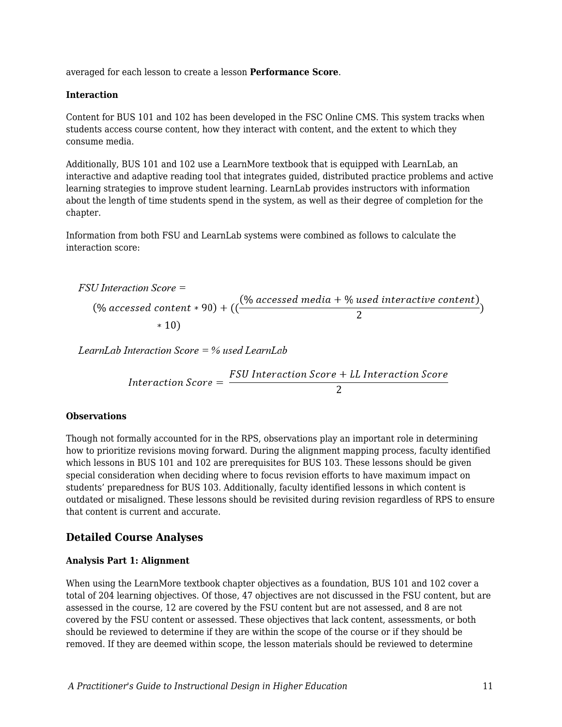averaged for each lesson to create a lesson **Performance Score**.

#### **Interaction**

Content for BUS 101 and 102 has been developed in the FSC Online CMS. This system tracks when students access course content, how they interact with content, and the extent to which they consume media.

Additionally, BUS 101 and 102 use a LearnMore textbook that is equipped with LearnLab, an interactive and adaptive reading tool that integrates guided, distributed practice problems and active learning strategies to improve student learning. LearnLab provides instructors with information about the length of time students spend in the system, as well as their degree of completion for the chapter.

Information from both FSU and LearnLab systems were combined as follows to calculate the interaction score:

FSU Interaction Score =  
(% accessed content \* 90) + ((
$$
\frac{(\% accessed media + \% used interactive content)}{2}
$$
)  
 \* 10)

LearnLab Interaction Score =  $%$  used LearnLab

Interaction Score =  $\frac{FSU\text{Interaction Score} + LL\text{Interaction Score}}{2}$  $\overline{2}$ 

#### **Observations**

Though not formally accounted for in the RPS, observations play an important role in determining how to prioritize revisions moving forward. During the alignment mapping process, faculty identified which lessons in BUS 101 and 102 are prerequisites for BUS 103. These lessons should be given special consideration when deciding where to focus revision efforts to have maximum impact on students' preparedness for BUS 103. Additionally, faculty identified lessons in which content is outdated or misaligned. These lessons should be revisited during revision regardless of RPS to ensure that content is current and accurate.

#### **Detailed Course Analyses**

#### **Analysis Part 1: Alignment**

When using the LearnMore textbook chapter objectives as a foundation, BUS 101 and 102 cover a total of 204 learning objectives. Of those, 47 objectives are not discussed in the FSU content, but are assessed in the course, 12 are covered by the FSU content but are not assessed, and 8 are not covered by the FSU content or assessed. These objectives that lack content, assessments, or both should be reviewed to determine if they are within the scope of the course or if they should be removed. If they are deemed within scope, the lesson materials should be reviewed to determine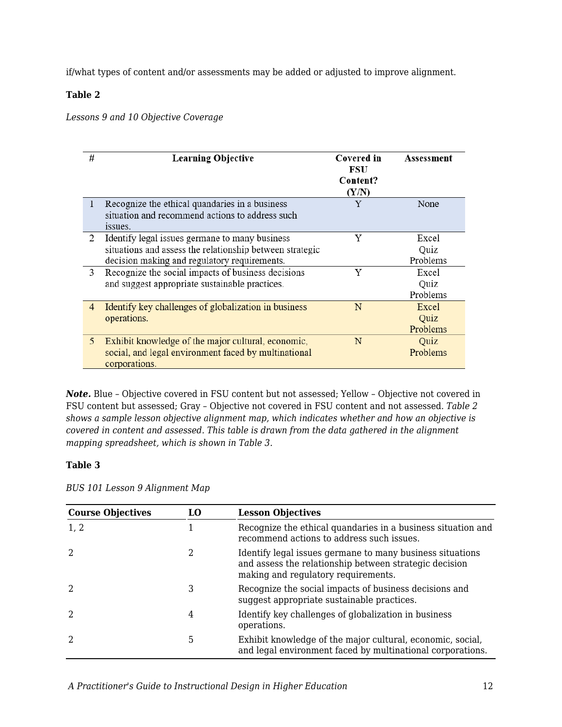if/what types of content and/or assessments may be added or adjusted to improve alignment.

#### **Table 2**

*Lessons 9 and 10 Objective Coverage*

| # | <b>Learning Objective</b>                                                                                                                                  | Covered in<br>FSU<br>Content?<br>(Y/N) | Assessment                |
|---|------------------------------------------------------------------------------------------------------------------------------------------------------------|----------------------------------------|---------------------------|
| 1 | Recognize the ethical quandaries in a business<br>situation and recommend actions to address such<br>issues.                                               | Y                                      | None                      |
| 2 | Identify legal issues germane to many business<br>situations and assess the relationship between strategic<br>decision making and regulatory requirements. | Y                                      | Excel<br>Quiz<br>Problems |
| 3 | Recognize the social impacts of business decisions<br>and suggest appropriate sustainable practices.                                                       | Y                                      | Excel<br>Quiz<br>Problems |
| 4 | Identify key challenges of globalization in business<br>operations.                                                                                        | N                                      | Excel<br>Quiz<br>Problems |
| 5 | Exhibit knowledge of the major cultural, economic,<br>social, and legal environment faced by multinational<br>corporations.                                | N                                      | Quiz<br>Problems          |

*Note.* Blue – Objective covered in FSU content but not assessed; Yellow – Objective not covered in FSU content but assessed; Gray – Objective not covered in FSU content and not assessed. *Table 2 shows a sample lesson objective alignment map, which indicates whether and how an objective is covered in content and assessed. This table is drawn from the data gathered in the alignment mapping spreadsheet, which is shown in Table 3.*

#### **Table 3**

*BUS 101 Lesson 9 Alignment Map*

| <b>Course Objectives</b> | LO | <b>Lesson Objectives</b>                                                                                                                                   |
|--------------------------|----|------------------------------------------------------------------------------------------------------------------------------------------------------------|
| 1, 2                     |    | Recognize the ethical quandaries in a business situation and<br>recommend actions to address such issues.                                                  |
|                          |    | Identify legal issues germane to many business situations<br>and assess the relationship between strategic decision<br>making and regulatory requirements. |
|                          | 3  | Recognize the social impacts of business decisions and<br>suggest appropriate sustainable practices.                                                       |
|                          | 4  | Identify key challenges of globalization in business<br>operations.                                                                                        |
|                          | 5  | Exhibit knowledge of the major cultural, economic, social,<br>and legal environment faced by multinational corporations.                                   |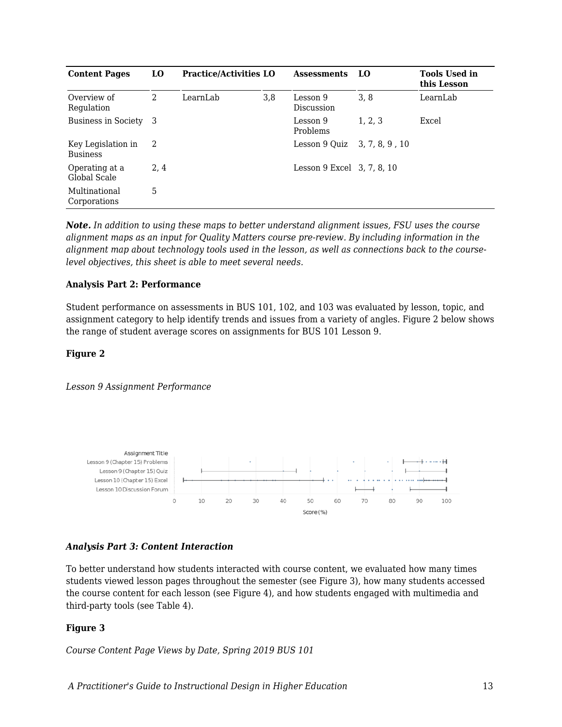| <b>Content Pages</b>                  | LO.  | <b>Practice/Activities LO</b> |     | <b>Assessments</b>         | LO             | <b>Tools Used in</b><br>this Lesson |
|---------------------------------------|------|-------------------------------|-----|----------------------------|----------------|-------------------------------------|
| Overview of<br>Regulation             | 2    | LearnLab                      | 3,8 | Lesson 9<br>Discussion     | 3.8            | LearnLab                            |
| Business in Society                   | -3   |                               |     | Lesson 9<br>Problems       | 1.2.3          | Excel                               |
| Key Legislation in<br><b>Business</b> | 2    |                               |     | Lesson 9 Quiz              | 3, 7, 8, 9, 10 |                                     |
| Operating at a<br>Global Scale        | 2, 4 |                               |     | Lesson 9 Excel 3, 7, 8, 10 |                |                                     |
| Multinational<br>Corporations         | 5    |                               |     |                            |                |                                     |

*Note. In addition to using these maps to better understand alignment issues, FSU uses the course alignment maps as an input for Quality Matters course pre-review. By including information in the alignment map about technology tools used in the lesson, as well as connections back to the courselevel objectives, this sheet is able to meet several needs.*

#### **Analysis Part 2: Performance**

Student performance on assessments in BUS 101, 102, and 103 was evaluated by lesson, topic, and assignment category to help identify trends and issues from a variety of angles. Figure 2 below shows the range of student average scores on assignments for BUS 101 Lesson 9.

#### **Figure 2**

*Lesson 9 Assignment Performance*



#### *Analysis Part 3: Content Interaction*

To better understand how students interacted with course content, we evaluated how many times students viewed lesson pages throughout the semester (see Figure 3), how many students accessed the course content for each lesson (see Figure 4), and how students engaged with multimedia and third-party tools (see Table 4).

#### **Figure 3**

*Course Content Page Views by Date, Spring 2019 BUS 101*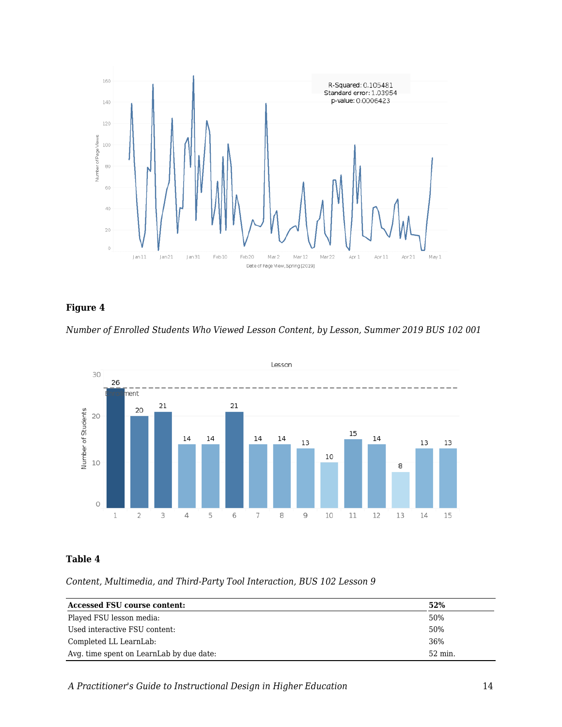

### **Figure 4**





#### **Table 4**

*Content, Multimedia, and Third-Party Tool Interaction, BUS 102 Lesson 9*

| <b>Accessed FSU course content:</b>      | 52%     |
|------------------------------------------|---------|
| Played FSU lesson media:                 | 50%     |
| Used interactive FSU content:            | 50%     |
| Completed LL LearnLab:                   | 36%     |
| Avg. time spent on LearnLab by due date: | 52 min. |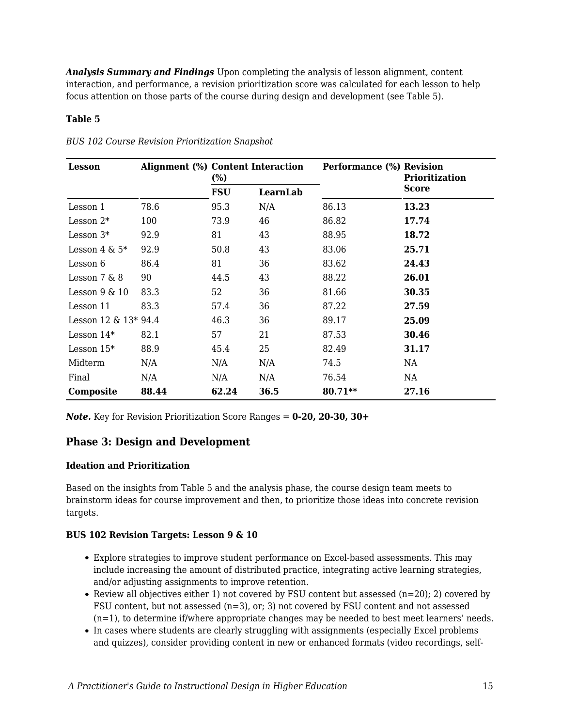*Analysis Summary and Findings* Upon completing the analysis of lesson alignment, content interaction, and performance, a revision prioritization score was calculated for each lesson to help focus attention on those parts of the course during design and development (see Table 5).

#### **Table 5**

| <b>Lesson</b>           | Alignment (%) Content Interaction | $\frac{6}{9}$ |          | <b>Performance (%) Revision</b> | <b>Prioritization</b> |
|-------------------------|-----------------------------------|---------------|----------|---------------------------------|-----------------------|
|                         |                                   | <b>FSU</b>    | LearnLab |                                 | Score                 |
| Lesson 1                | 78.6                              | 95.3          | N/A      | 86.13                           | 13.23                 |
| Lesson $2*$             | 100                               | 73.9          | 46       | 86.82                           | 17.74                 |
| Lesson $3*$             | 92.9                              | 81            | 43       | 88.95                           | 18.72                 |
| Lesson $4 \& 5^*$       | 92.9                              | 50.8          | 43       | 83.06                           | 25.71                 |
| Lesson 6                | 86.4                              | 81            | 36       | 83.62                           | 24.43                 |
| Lesson $7 & 8$          | 90                                | 44.5          | 43       | 88.22                           | 26.01                 |
| Lesson $9 \& 10$        | 83.3                              | 52            | 36       | 81.66                           | 30.35                 |
| Lesson 11               | 83.3                              | 57.4          | 36       | 87.22                           | 27.59                 |
| Lesson $12 \& 13* 94.4$ |                                   | 46.3          | 36       | 89.17                           | 25.09                 |
| Lesson $14*$            | 82.1                              | 57            | 21       | 87.53                           | 30.46                 |
| Lesson $15*$            | 88.9                              | 45.4          | 25       | 82.49                           | 31.17                 |
| Midterm                 | N/A                               | N/A           | N/A      | 74.5                            | NA                    |
| Final                   | N/A                               | N/A           | N/A      | 76.54                           | NA                    |
| Composite               | 88.44                             | 62.24         | 36.5     | 80.71**                         | 27.16                 |

*BUS 102 Course Revision Prioritization Snapshot*

*Note.* Key for Revision Prioritization Score Ranges = **0-20, 20-30, 30+**

#### **Phase 3: Design and Development**

#### **Ideation and Prioritization**

Based on the insights from Table 5 and the analysis phase, the course design team meets to brainstorm ideas for course improvement and then, to prioritize those ideas into concrete revision targets.

#### **BUS 102 Revision Targets: Lesson 9 & 10**

- Explore strategies to improve student performance on Excel-based assessments. This may include increasing the amount of distributed practice, integrating active learning strategies, and/or adjusting assignments to improve retention.
- Review all objectives either 1) not covered by FSU content but assessed ( $n=20$ ); 2) covered by FSU content, but not assessed (n=3), or; 3) not covered by FSU content and not assessed  $(n=1)$ , to determine if/where appropriate changes may be needed to best meet learners' needs.
- In cases where students are clearly struggling with assignments (especially Excel problems and quizzes), consider providing content in new or enhanced formats (video recordings, self-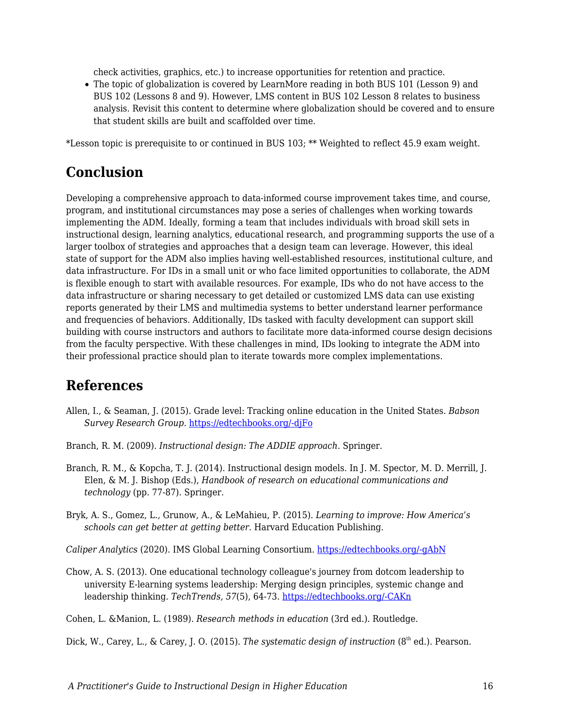check activities, graphics, etc.) to increase opportunities for retention and practice.

The topic of globalization is covered by LearnMore reading in both BUS 101 (Lesson 9) and BUS 102 (Lessons 8 and 9). However, LMS content in BUS 102 Lesson 8 relates to business analysis. Revisit this content to determine where globalization should be covered and to ensure that student skills are built and scaffolded over time.

\*Lesson topic is prerequisite to or continued in BUS 103; \*\* Weighted to reflect 45.9 exam weight.

## **Conclusion**

Developing a comprehensive approach to data-informed course improvement takes time, and course, program, and institutional circumstances may pose a series of challenges when working towards implementing the ADM. Ideally, forming a team that includes individuals with broad skill sets in instructional design, learning analytics, educational research, and programming supports the use of a larger toolbox of strategies and approaches that a design team can leverage. However, this ideal state of support for the ADM also implies having well-established resources, institutional culture, and data infrastructure. For IDs in a small unit or who face limited opportunities to collaborate, the ADM is flexible enough to start with available resources. For example, IDs who do not have access to the data infrastructure or sharing necessary to get detailed or customized LMS data can use existing reports generated by their LMS and multimedia systems to better understand learner performance and frequencies of behaviors. Additionally, IDs tasked with faculty development can support skill building with course instructors and authors to facilitate more data-informed course design decisions from the faculty perspective. With these challenges in mind, IDs looking to integrate the ADM into their professional practice should plan to iterate towards more complex implementations.

## **References**

- Allen, I., & Seaman, J. (2015). Grade level: Tracking online education in the United States. *Babson Survey Research Group.* [https://edtechbooks.org/-djFo](https://onlinelearningconsortium.org/read/online-report-card-tracking-online-education-united-states-2015/)
- Branch, R. M. (2009). *Instructional design: The ADDIE approach*. Springer.
- Branch, R. M., & Kopcha, T. J. (2014). Instructional design models. In J. M. Spector, M. D. Merrill, J. Elen, & M. J. Bishop (Eds.), *Handbook of research on educational communications and technology* (pp. 77-87). Springer.
- Bryk, A. S., Gomez, L., Grunow, A., & LeMahieu, P. (2015). *Learning to improve: How America's schools can get better at getting better*. Harvard Education Publishing.

*Caliper Analytics* (2020). IMS Global Learning Consortium. [https://edtechbooks.org/-gAbN](http://www.imsglobal.org/activity/caliper)

Chow, A. S. (2013). One educational technology colleague's journey from dotcom leadership to university E-learning systems leadership: Merging design principles, systemic change and leadership thinking. *TechTrends, 57*(5), 64-73. [https://edtechbooks.org/-CAKn](https://doi.org/10.1007/s11528-013-0693-6)

Cohen, L. &Manion, L. (1989). *Research methods in education* (3rd ed.). Routledge.

Dick, W., Carey, L., & Carey, J. O. (2015). *The systematic design of instruction* (8<sup>th</sup> ed.). Pearson.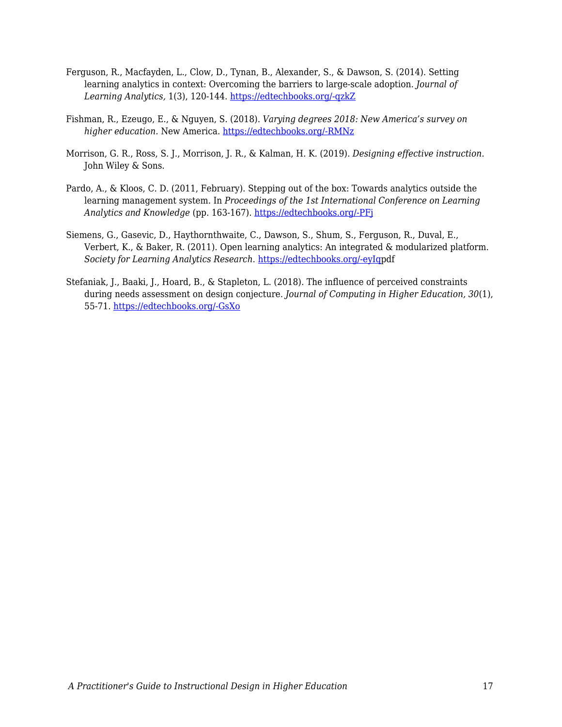- Ferguson, R., Macfayden, L., Clow, D., Tynan, B., Alexander, S., & Dawson, S. (2014). Setting learning analytics in context: Overcoming the barriers to large-scale adoption. *Journal of Learning Analytics,* 1(3), 120-144. [https://edtechbooks.org/-qzkZ](https://doi.org/10.18608/jla.2014.13.7%20)
- Fishman, R., Ezeugo, E., & Nguyen, S. (2018). *Varying degrees 2018: New America's survey on higher education.* New America. [https://edtechbooks.org/-RMNz](https://www.newamerica.org/education-policy/reports/varying-degrees-2018/)
- Morrison, G. R., Ross, S. J., Morrison, J. R., & Kalman, H. K. (2019). *Designing effective instruction*. John Wiley & Sons.
- Pardo, A., & Kloos, C. D. (2011, February). Stepping out of the box: Towards analytics outside the learning management system. In *Proceedings of the 1st International Conference on Learning Analytics and Knowledge* (pp. 163-167). [https://edtechbooks.org/-PFj](https://doi.org/10.1145/2090116.2090142)
- Siemens, G., Gasevic, D., Haythornthwaite, C., Dawson, S., Shum, S., Ferguson, R., Duval, E., Verbert, K., & Baker, R. (2011). Open learning analytics: An integrated & modularized platform. *Society for Learning Analytics Research*. [https://edtechbooks.org/-eyIq](https://solaresearch.org/wp-content/uploads/2011/12/OpenLearningAnalytics.pdf)pdf
- Stefaniak, J., Baaki, J., Hoard, B., & Stapleton, L. (2018). The influence of perceived constraints during needs assessment on design conjecture. *Journal of Computing in Higher Education, 30*(1), 55-71. [https://edtechbooks.org/-GsXo](http://dx.doi.org/10.1007/s12528-018-9173-5)